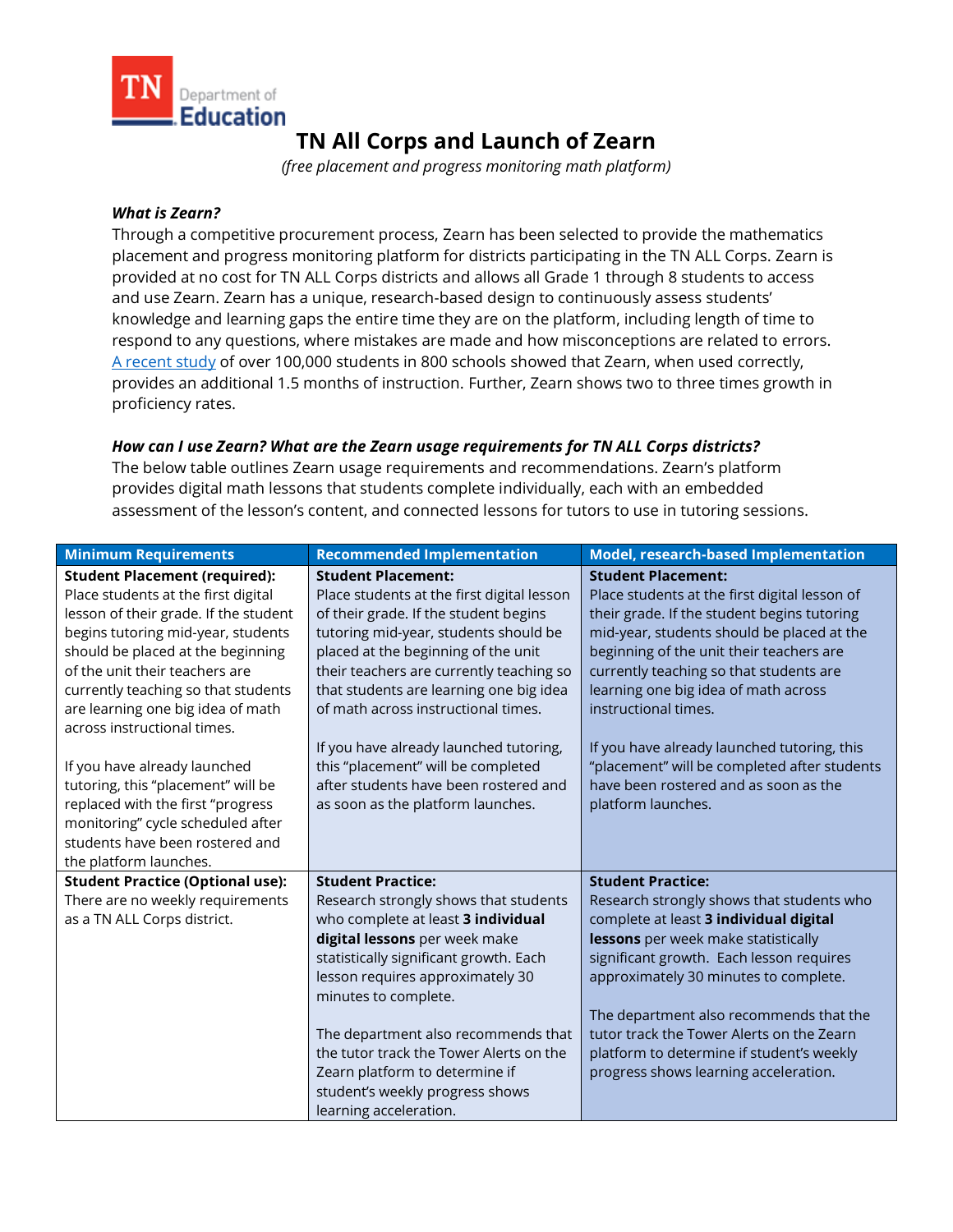

# **TN All Corps and Launch of Zearn**

*(free placement and progress monitoring math platform)*

#### *What is Zearn?*

Through a competitive procurement process, Zearn has been selected to provide the mathematics placement and progress monitoring platform for districts participating in the TN ALL Corps. Zearn is provided at no cost for TN ALL Corps districts and allows all Grade 1 through 8 students to access and use Zearn. Zearn has a unique, research-based design to continuously assess students' knowledge and learning gaps the entire time they are on the platform, including length of time to respond to any questions, where mistakes are made and how misconceptions are related to errors. [A recent study](https://webassets.zearn.org/Implementation/ZearnMathEffectiveness_LandmarkStudy.pdf) of over 100,000 students in 800 schools showed that Zearn, when used correctly, provides an additional 1.5 months of instruction. Further, Zearn shows two to three times growth in proficiency rates.

#### *How can I use Zearn? What are the Zearn usage requirements for TN ALL Corps districts?*

The below table outlines Zearn usage requirements and recommendations. Zearn's platform provides digital math lessons that students complete individually, each with an embedded assessment of the lesson's content, and connected lessons for tutors to use in tutoring sessions.

| <b>Minimum Requirements</b>                                                                                                                                                                                                                                                                                                                                                                                        | <b>Recommended Implementation</b>                                                                                                                                                                                                                                                                                                                                                                                                                       | Model, research-based Implementation                                                                                                                                                                                                                                                                                                                                                                                                                                   |
|--------------------------------------------------------------------------------------------------------------------------------------------------------------------------------------------------------------------------------------------------------------------------------------------------------------------------------------------------------------------------------------------------------------------|---------------------------------------------------------------------------------------------------------------------------------------------------------------------------------------------------------------------------------------------------------------------------------------------------------------------------------------------------------------------------------------------------------------------------------------------------------|------------------------------------------------------------------------------------------------------------------------------------------------------------------------------------------------------------------------------------------------------------------------------------------------------------------------------------------------------------------------------------------------------------------------------------------------------------------------|
| <b>Student Placement (required):</b><br>Place students at the first digital<br>lesson of their grade. If the student<br>begins tutoring mid-year, students<br>should be placed at the beginning<br>of the unit their teachers are<br>currently teaching so that students<br>are learning one big idea of math<br>across instructional times.<br>If you have already launched<br>tutoring, this "placement" will be | <b>Student Placement:</b><br>Place students at the first digital lesson<br>of their grade. If the student begins<br>tutoring mid-year, students should be<br>placed at the beginning of the unit<br>their teachers are currently teaching so<br>that students are learning one big idea<br>of math across instructional times.<br>If you have already launched tutoring,<br>this "placement" will be completed<br>after students have been rostered and | <b>Student Placement:</b><br>Place students at the first digital lesson of<br>their grade. If the student begins tutoring<br>mid-year, students should be placed at the<br>beginning of the unit their teachers are<br>currently teaching so that students are<br>learning one big idea of math across<br>instructional times.<br>If you have already launched tutoring, this<br>"placement" will be completed after students<br>have been rostered and as soon as the |
| replaced with the first "progress<br>monitoring" cycle scheduled after<br>students have been rostered and<br>the platform launches.                                                                                                                                                                                                                                                                                | as soon as the platform launches.                                                                                                                                                                                                                                                                                                                                                                                                                       | platform launches.                                                                                                                                                                                                                                                                                                                                                                                                                                                     |
| <b>Student Practice (Optional use):</b>                                                                                                                                                                                                                                                                                                                                                                            | <b>Student Practice:</b>                                                                                                                                                                                                                                                                                                                                                                                                                                | <b>Student Practice:</b>                                                                                                                                                                                                                                                                                                                                                                                                                                               |
| There are no weekly requirements<br>as a TN ALL Corps district.                                                                                                                                                                                                                                                                                                                                                    | Research strongly shows that students<br>who complete at least 3 individual<br>digital lessons per week make<br>statistically significant growth. Each<br>lesson requires approximately 30<br>minutes to complete.<br>The department also recommends that                                                                                                                                                                                               | Research strongly shows that students who<br>complete at least 3 individual digital<br>lessons per week make statistically<br>significant growth. Each lesson requires<br>approximately 30 minutes to complete.<br>The department also recommends that the<br>tutor track the Tower Alerts on the Zearn                                                                                                                                                                |
|                                                                                                                                                                                                                                                                                                                                                                                                                    | the tutor track the Tower Alerts on the<br>Zearn platform to determine if<br>student's weekly progress shows<br>learning acceleration.                                                                                                                                                                                                                                                                                                                  | platform to determine if student's weekly<br>progress shows learning acceleration.                                                                                                                                                                                                                                                                                                                                                                                     |